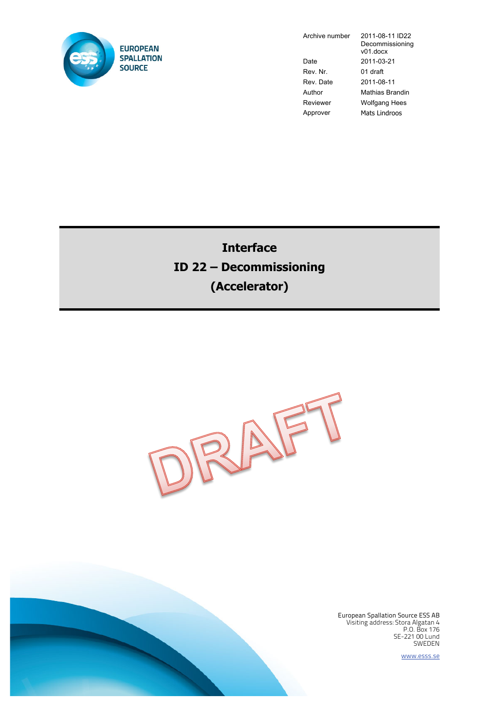

Date 2011-03-21 Rev. Nr. 01 draft Rev. Date 2011-08-11 Approver Mats Lindroos

Archive number 2011-08-11 ID22 Decommissioning v01.docx Author Mathias Brandin Reviewer Wolfgang Hees

**Interface ID 22 – Decommissioning (Accelerator)**



European Spallation Source ESS AB Visiting address: Stora Algatan 4 P.O. Box 176 SE-221 00 Lund SWEDEN

www.esss.se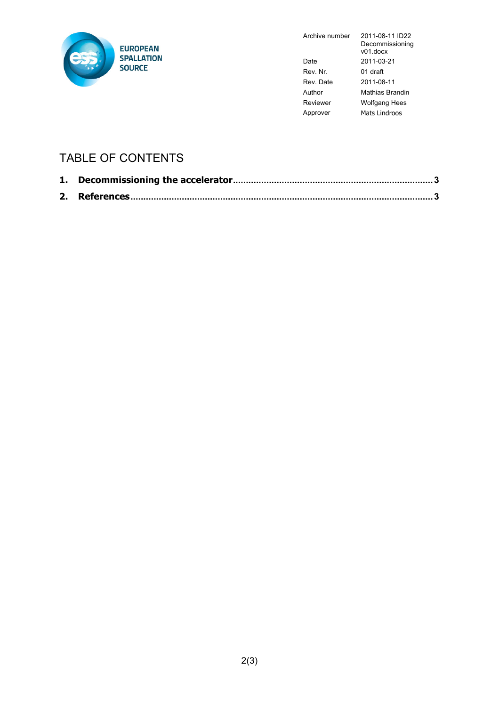

Archive number 2011-08-11 ID22

|          | Decommissioning<br>$v01$ .docx |
|----------|--------------------------------|
| Date     | 2011-03-21                     |
| Rev Nr   | 01 draft                       |
| Rev Date | 2011-08-11                     |
| Author   | Mathias Brandin                |
| Reviewer | <b>Wolfgang Hees</b>           |
| pprover  | Mats Lindroos                  |

## TABLE OF CONTENTS